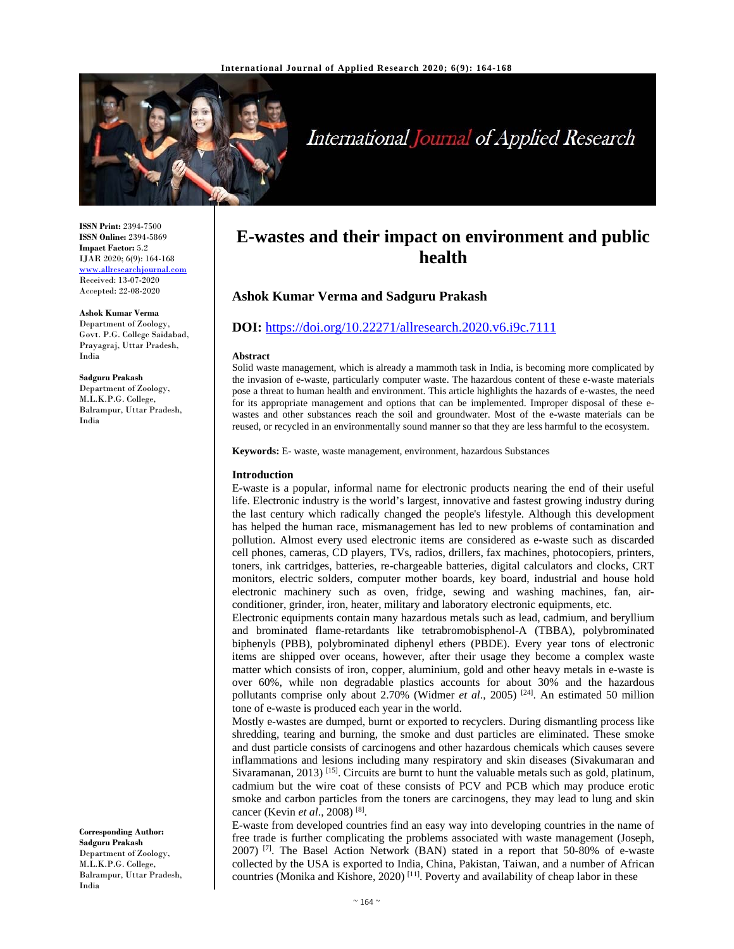

# International Journal of Applied Research

**ISSN Print:** 2394-7500 **ISSN Online:** 2394-5869 **Impact Factor:** 5.2 IJAR 2020; 6(9): 164-168 www.allresearchjournal.com Received: 13-07-2020 Accepted: 22-08-2020

**Ashok Kumar Verma**  Department of Zoology, Govt. P.G. College Saidabad, Prayagraj, Uttar Pradesh, India

**Sadguru Prakash**  Department of Zoology, M.L.K.P.G. College, Balrampur, Uttar Pradesh, India

**Corresponding Author: Sadguru Prakash**  Department of Zoology, M.L.K.P.G. College, Balrampur, Uttar Pradesh, India

# **E-wastes and their impact on environment and public health**

# **Ashok Kumar Verma and Sadguru Prakash**

# **DOI:** https://doi.org/10.22271/allresearch.2020.v6.i9c.7111

#### **Abstract**

Solid waste management, which is already a mammoth task in India, is becoming more complicated by the invasion of e-waste, particularly computer waste. The hazardous content of these e-waste materials pose a threat to human health and environment. This article highlights the hazards of e-wastes, the need for its appropriate management and options that can be implemented. Improper disposal of these ewastes and other substances reach the soil and groundwater. Most of the e-waste materials can be reused, or recycled in an environmentally sound manner so that they are less harmful to the ecosystem.

**Keywords:** E- waste, waste management, environment, hazardous Substances

# **Introduction**

E-waste is a popular, informal name for electronic products nearing the end of their useful life. Electronic industry is the world's largest, innovative and fastest growing industry during the last century which radically changed the people's lifestyle. Although this development has helped the human race, mismanagement has led to new problems of contamination and pollution. Almost every used electronic items are considered as e-waste such as discarded cell phones, cameras, CD players, TVs, radios, drillers, fax machines, photocopiers, printers, toners, ink cartridges, batteries, re-chargeable batteries, digital calculators and clocks, CRT monitors, electric solders, computer mother boards, key board, industrial and house hold electronic machinery such as oven, fridge, sewing and washing machines, fan, airconditioner, grinder, iron, heater, military and laboratory electronic equipments, etc.

Electronic equipments contain many hazardous metals such as lead, cadmium, and beryllium and brominated flame-retardants like tetrabromobisphenol-A (TBBA), polybrominated biphenyls (PBB), polybrominated diphenyl ethers (PBDE). Every year tons of electronic items are shipped over oceans, however, after their usage they become a complex waste matter which consists of iron, copper, aluminium, gold and other heavy metals in e-waste is over 60%, while non degradable plastics accounts for about 30% and the hazardous pollutants comprise only about 2.70% (Widmer *et al.*, 2005) <sup>[24]</sup>. An estimated 50 million tone of e-waste is produced each year in the world.

Mostly e-wastes are dumped, burnt or exported to recyclers. During dismantling process like shredding, tearing and burning, the smoke and dust particles are eliminated. These smoke and dust particle consists of carcinogens and other hazardous chemicals which causes severe inflammations and lesions including many respiratory and skin diseases (Sivakumaran and Sivaramanan, 2013)<sup>[15]</sup>. Circuits are burnt to hunt the valuable metals such as gold, platinum, cadmium but the wire coat of these consists of PCV and PCB which may produce erotic smoke and carbon particles from the toners are carcinogens, they may lead to lung and skin cancer (Kevin *et al*., 2008) [8].

E-waste from developed countries find an easy way into developing countries in the name of free trade is further complicating the problems associated with waste management (Joseph,  $2007$ ) <sup>[7]</sup>. The Basel Action Network (BAN) stated in a report that 50-80% of e-waste collected by the USA is exported to India, China, Pakistan, Taiwan, and a number of African countries (Monika and Kishore, 2020)<sup>[11]</sup>. Poverty and availability of cheap labor in these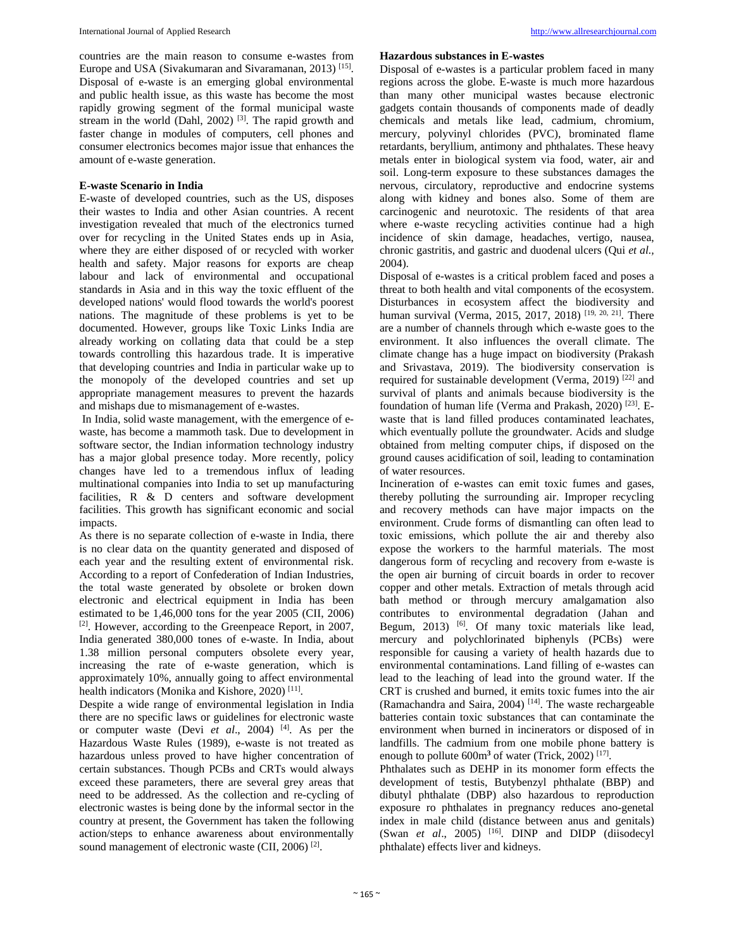countries are the main reason to consume e-wastes from Europe and USA (Sivakumaran and Sivaramanan, 2013)<sup>[15]</sup>. Disposal of e-waste is an emerging global environmental and public health issue, as this waste has become the most rapidly growing segment of the formal municipal waste stream in the world (Dahl, 2002)<sup>[3]</sup>. The rapid growth and faster change in modules of computers, cell phones and consumer electronics becomes major issue that enhances the amount of e-waste generation.

# **E-waste Scenario in India**

E-waste of developed countries, such as the US, disposes their wastes to India and other Asian countries. A recent investigation revealed that much of the electronics turned over for recycling in the United States ends up in Asia, where they are either disposed of or recycled with worker health and safety. Major reasons for exports are cheap labour and lack of environmental and occupational standards in Asia and in this way the toxic effluent of the developed nations' would flood towards the world's poorest nations. The magnitude of these problems is yet to be documented. However, groups like Toxic Links India are already working on collating data that could be a step towards controlling this hazardous trade. It is imperative that developing countries and India in particular wake up to the monopoly of the developed countries and set up appropriate management measures to prevent the hazards and mishaps due to mismanagement of e-wastes.

 In India, solid waste management, with the emergence of ewaste, has become a mammoth task. Due to development in software sector, the Indian information technology industry has a major global presence today. More recently, policy changes have led to a tremendous influx of leading multinational companies into India to set up manufacturing facilities, R & D centers and software development facilities. This growth has significant economic and social impacts.

As there is no separate collection of e-waste in India, there is no clear data on the quantity generated and disposed of each year and the resulting extent of environmental risk. According to a report of Confederation of Indian Industries, the total waste generated by obsolete or broken down electronic and electrical equipment in India has been estimated to be 1,46,000 tons for the year 2005 (CII, 2006) [2]. However, according to the Greenpeace Report, in 2007, India generated 380,000 tones of e-waste. In India, about 1.38 million personal computers obsolete every year, increasing the rate of e-waste generation, which is approximately 10%, annually going to affect environmental health indicators (Monika and Kishore, 2020)<sup>[11]</sup>.

Despite a wide range of environmental legislation in India there are no specific laws or guidelines for electronic waste or computer waste (Devi *et al*., 2004) [4]. As per the Hazardous Waste Rules (1989), e-waste is not treated as hazardous unless proved to have higher concentration of certain substances. Though PCBs and CRTs would always exceed these parameters, there are several grey areas that need to be addressed. As the collection and re-cycling of electronic wastes is being done by the informal sector in the country at present, the Government has taken the following action/steps to enhance awareness about environmentally sound management of electronic waste (CII, 2006)<sup>[2]</sup>.

# **Hazardous substances in E-wastes**

Disposal of e-wastes is a particular problem faced in many regions across the globe. E-waste is much more hazardous than many other municipal wastes because electronic gadgets contain thousands of components made of deadly chemicals and metals like lead, cadmium, chromium, mercury, polyvinyl chlorides (PVC), brominated flame retardants, beryllium, antimony and phthalates. These heavy metals enter in biological system via food, water, air and soil. Long-term exposure to these substances damages the nervous, circulatory, reproductive and endocrine systems along with kidney and bones also. Some of them are carcinogenic and neurotoxic. The residents of that area where e-waste recycling activities continue had a high incidence of skin damage, headaches, vertigo, nausea, chronic gastritis, and gastric and duodenal ulcers (Qui *et al.,* 2004).

Disposal of e-wastes is a critical problem faced and poses a threat to both health and vital components of the ecosystem. Disturbances in ecosystem affect the biodiversity and human survival (Verma, 2015, 2017, 2018) [19, 20, 21]. There are a number of channels through which e-waste goes to the environment. It also influences the overall climate. The climate change has a huge impact on biodiversity (Prakash and Srivastava, 2019). The biodiversity conservation is required for sustainable development (Verma, 2019) [22] and survival of plants and animals because biodiversity is the foundation of human life (Verma and Prakash, 2020) [23]. Ewaste that is land filled produces contaminated leachates, which eventually pollute the groundwater. Acids and sludge obtained from melting computer chips, if disposed on the ground causes acidification of soil, leading to contamination of water resources.

Incineration of e-wastes can emit toxic fumes and gases, thereby polluting the surrounding air. Improper recycling and recovery methods can have major impacts on the environment. Crude forms of dismantling can often lead to toxic emissions, which pollute the air and thereby also expose the workers to the harmful materials. The most dangerous form of recycling and recovery from e-waste is the open air burning of circuit boards in order to recover copper and other metals. Extraction of metals through acid bath method or through mercury amalgamation also contributes to environmental degradation (Jahan and Begum, 2013) <sup>[6]</sup>. Of many toxic materials like lead, mercury and polychlorinated biphenyls (PCBs) were responsible for causing a variety of health hazards due to environmental contaminations. Land filling of e-wastes can lead to the leaching of lead into the ground water. If the CRT is crushed and burned, it emits toxic fumes into the air (Ramachandra and Saira, 2004) [14]. The waste rechargeable batteries contain toxic substances that can contaminate the environment when burned in incinerators or disposed of in landfills. The cadmium from one mobile phone battery is enough to pollute  $600m^3$  of water (Trick, 2002)<sup>[17]</sup>.

Phthalates such as DEHP in its monomer form effects the development of testis, Butybenzyl phthalate (BBP) and dibutyl phthalate (DBP) also hazardous to reproduction exposure ro phthalates in pregnancy reduces ano-genetal index in male child (distance between anus and genitals) (Swan *et al.*, 2005) <sup>[16]</sup>. DINP and DIDP (diisodecyl) phthalate) effects liver and kidneys.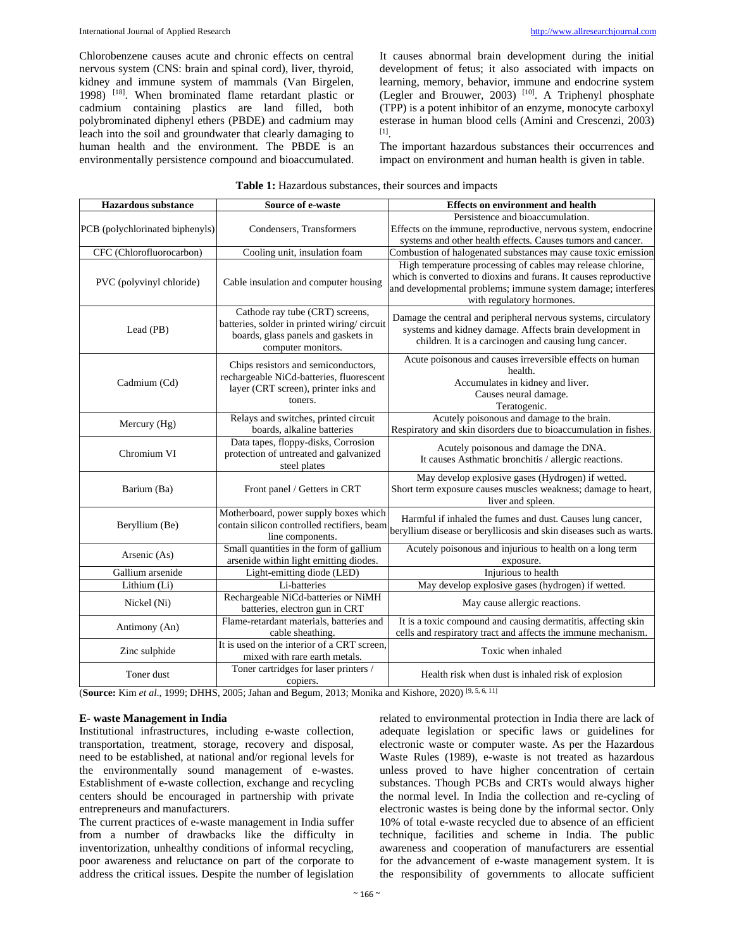Chlorobenzene causes acute and chronic effects on central nervous system (CNS: brain and spinal cord), liver, thyroid, kidney and immune system of mammals (Van Birgelen, 1998) [18]. When brominated flame retardant plastic or cadmium containing plastics are land filled, both polybrominated diphenyl ethers (PBDE) and cadmium may leach into the soil and groundwater that clearly damaging to human health and the environment. The PBDE is an environmentally persistence compound and bioaccumulated. It causes abnormal brain development during the initial development of fetus; it also associated with impacts on learning, memory, behavior, immune and endocrine system (Legler and Brouwer, 2003) <sup>[10]</sup>. A Triphenyl phosphate (TPP) is a potent inhibitor of an enzyme, monocyte carboxyl esterase in human blood cells (Amini and Crescenzi, 2003) [1].

The important hazardous substances their occurrences and impact on environment and human health is given in table.

| <b>Hazardous substance</b>                    | Source of e-waste                                               | <b>Effects on environment and health</b>                            |  |
|-----------------------------------------------|-----------------------------------------------------------------|---------------------------------------------------------------------|--|
|                                               | Condensers, Transformers                                        | Persistence and bioaccumulation.                                    |  |
| PCB (polychlorinated biphenyls)               |                                                                 | Effects on the immune, reproductive, nervous system, endocrine      |  |
|                                               |                                                                 | systems and other health effects. Causes tumors and cancer.         |  |
| CFC (Chlorofluorocarbon)                      | Cooling unit, insulation foam                                   | Combustion of halogenated substances may cause toxic emission       |  |
|                                               | Cable insulation and computer housing                           | High temperature processing of cables may release chlorine,         |  |
| PVC (polyvinyl chloride)                      |                                                                 | which is converted to dioxins and furans. It causes reproductive    |  |
|                                               |                                                                 | and developmental problems; immune system damage; interferes        |  |
|                                               |                                                                 | with regulatory hormones.                                           |  |
| Lead (PB)                                     | Cathode ray tube (CRT) screens,                                 | Damage the central and peripheral nervous systems, circulatory      |  |
|                                               | batteries, solder in printed wiring/circuit                     | systems and kidney damage. Affects brain development in             |  |
|                                               | boards, glass panels and gaskets in                             | children. It is a carcinogen and causing lung cancer.               |  |
|                                               | computer monitors.                                              |                                                                     |  |
|                                               | Chips resistors and semiconductors,                             | Acute poisonous and causes irreversible effects on human<br>health. |  |
|                                               | rechargeable NiCd-batteries, fluorescent                        | Accumulates in kidney and liver.                                    |  |
| Cadmium (Cd)                                  | layer (CRT screen), printer inks and                            | Causes neural damage.                                               |  |
|                                               | toners.                                                         | Teratogenic.                                                        |  |
|                                               | Relays and switches, printed circuit                            | Acutely poisonous and damage to the brain.                          |  |
| Mercury (Hg)                                  | boards, alkaline batteries                                      | Respiratory and skin disorders due to bioaccumulation in fishes.    |  |
| Chromium VI                                   | Data tapes, floppy-disks, Corrosion                             |                                                                     |  |
|                                               | protection of untreated and galvanized                          | Acutely poisonous and damage the DNA.                               |  |
|                                               | steel plates                                                    | It causes Asthmatic bronchitis / allergic reactions.                |  |
|                                               | Front panel / Getters in CRT                                    | May develop explosive gases (Hydrogen) if wetted.                   |  |
| Barium (Ba)                                   |                                                                 | Short term exposure causes muscles weakness; damage to heart,       |  |
|                                               |                                                                 | liver and spleen.                                                   |  |
| Beryllium (Be)                                | Motherboard, power supply boxes which                           | Harmful if inhaled the fumes and dust. Causes lung cancer,          |  |
|                                               | contain silicon controlled rectifiers, beam                     | beryllium disease or beryllicosis and skin diseases such as warts.  |  |
|                                               | line components.                                                |                                                                     |  |
| Arsenic (As)                                  | Small quantities in the form of gallium                         | Acutely poisonous and injurious to health on a long term            |  |
|                                               | arsenide within light emitting diodes.                          | exposure.                                                           |  |
| Gallium arsenide                              | Light-emitting diode (LED)                                      | Injurious to health                                                 |  |
| Lithium (Li)                                  | Li-batteries                                                    | May develop explosive gases (hydrogen) if wetted.                   |  |
| Nickel (Ni)<br>Antimony (An)<br>Zinc sulphide | Rechargeable NiCd-batteries or NiMH                             | May cause allergic reactions.                                       |  |
|                                               | batteries, electron gun in CRT                                  |                                                                     |  |
|                                               | Flame-retardant materials, batteries and                        | It is a toxic compound and causing dermatitis, affecting skin       |  |
|                                               | cable sheathing.<br>It is used on the interior of a CRT screen. | cells and respiratory tract and affects the immune mechanism.       |  |
|                                               | mixed with rare earth metals.                                   | Toxic when inhaled                                                  |  |
|                                               | Toner cartridges for laser printers /                           |                                                                     |  |
| Toner dust                                    | copiers.                                                        | Health risk when dust is inhaled risk of explosion                  |  |
|                                               |                                                                 |                                                                     |  |

| <b>Table 1:</b> Hazardous substances, their sources and impacts |  |  |
|-----------------------------------------------------------------|--|--|
|-----------------------------------------------------------------|--|--|

(**Source:** Kim *et al*., 1999; DHHS, 2005; Jahan and Begum, 2013; Monika and Kishore, 2020) [9, 5, 6, 11]

## **E- waste Management in India**

Institutional infrastructures, including e-waste collection, transportation, treatment, storage, recovery and disposal, need to be established, at national and/or regional levels for the environmentally sound management of e-wastes. Establishment of e-waste collection, exchange and recycling centers should be encouraged in partnership with private entrepreneurs and manufacturers.

The current practices of e-waste management in India suffer from a number of drawbacks like the difficulty in inventorization, unhealthy conditions of informal recycling, poor awareness and reluctance on part of the corporate to address the critical issues. Despite the number of legislation related to environmental protection in India there are lack of adequate legislation or specific laws or guidelines for electronic waste or computer waste. As per the Hazardous Waste Rules (1989), e-waste is not treated as hazardous unless proved to have higher concentration of certain substances. Though PCBs and CRTs would always higher the normal level. In India the collection and re-cycling of electronic wastes is being done by the informal sector. Only 10% of total e-waste recycled due to absence of an efficient technique, facilities and scheme in India. The public awareness and cooperation of manufacturers are essential for the advancement of e-waste management system. It is the responsibility of governments to allocate sufficient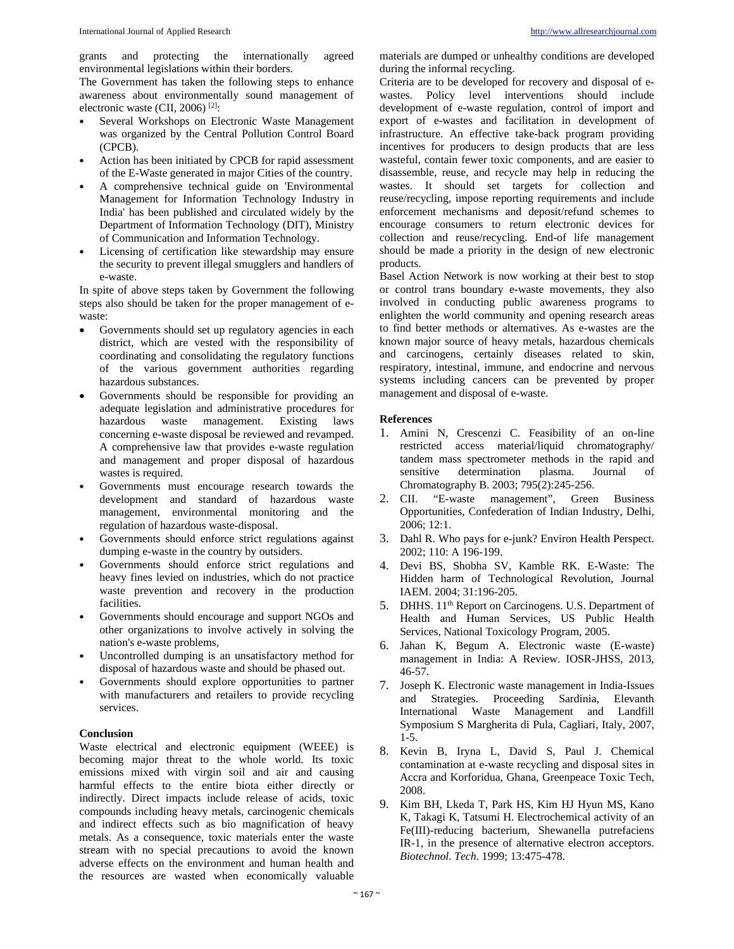grants and protecting the internationally agreed environmental legislations within their borders.

The Government has taken the following steps to enhance awareness about environmentally sound management of electronic waste (CII, 2006) [2]:

- Several Workshops on Electronic Waste Management was organized by the Central Pollution Control Board (CPCB).
- Action has been initiated by CPCB for rapid assessment of the E-Waste generated in major Cities of the country.
- A comprehensive technical guide on 'Environmental Management for Information Technology Industry in India' has been published and circulated widely by the Department of Information Technology (DIT), Ministry of Communication and Information Technology.
- Licensing of certification like stewardship may ensure the security to prevent illegal smugglers and handlers of e-waste.

In spite of above steps taken by Government the following steps also should be taken for the proper management of ewaste:

- Governments should set up regulatory agencies in each district, which are vested with the responsibility of coordinating and consolidating the regulatory functions of the various government authorities regarding hazardous substances.
- Governments should be responsible for providing an adequate legislation and administrative procedures for hazardous waste management. Existing laws concerning e-waste disposal be reviewed and revamped. A comprehensive law that provides e-waste regulation and management and proper disposal of hazardous wastes is required.
- Governments must encourage research towards the development and standard of hazardous waste management, environmental monitoring and the regulation of hazardous waste-disposal.
- Governments should enforce strict regulations against dumping e-waste in the country by outsiders.
- Governments should enforce strict regulations and heavy fines levied on industries, which do not practice waste prevention and recovery in the production facilities.
- Governments should encourage and support NGOs and other organizations to involve actively in solving the nation's e-waste problems,
- Uncontrolled dumping is an unsatisfactory method for disposal of hazardous waste and should be phased out.
- Governments should explore opportunities to partner with manufacturers and retailers to provide recycling services.

## **Conclusion**

Waste electrical and electronic equipment (WEEE) is becoming major threat to the whole world. Its toxic emissions mixed with virgin soil and air and causing harmful effects to the entire biota either directly or indirectly. Direct impacts include release of acids, toxic compounds including heavy metals, carcinogenic chemicals and indirect effects such as bio magnification of heavy metals. As a consequence, toxic materials enter the waste stream with no special precautions to avoid the known adverse effects on the environment and human health and the resources are wasted when economically valuable

materials are dumped or unhealthy conditions are developed during the informal recycling.

Criteria are to be developed for recovery and disposal of ewastes. Policy level interventions should include development of e-waste regulation, control of import and export of e-wastes and facilitation in development of infrastructure. An effective take-back program providing incentives for producers to design products that are less wasteful, contain fewer toxic components, and are easier to disassemble, reuse, and recycle may help in reducing the wastes. It should set targets for collection and reuse/recycling, impose reporting requirements and include enforcement mechanisms and deposit/refund schemes to encourage consumers to return electronic devices for collection and reuse/recycling. End-of life management should be made a priority in the design of new electronic products.

Basel Action Network is now working at their best to stop or control trans boundary e-waste movements, they also involved in conducting public awareness programs to enlighten the world community and opening research areas to find better methods or alternatives. As e-wastes are the known major source of heavy metals, hazardous chemicals and carcinogens, certainly diseases related to skin, respiratory, intestinal, immune, and endocrine and nervous systems including cancers can be prevented by proper management and disposal of e-waste.

#### **References**

- 1. Amini N, Crescenzi C. Feasibility of an on-line restricted access material/liquid chromatography/ tandem mass spectrometer methods in the rapid and sensitive determination plasma. Journal of Chromatography B. 2003; 795(2):245-256.
- 2. CII. "E-waste management", Green Business Opportunities, Confederation of Indian Industry, Delhi, 2006; 12:1.
- 3. Dahl R. Who pays for e-junk? Environ Health Perspect. 2002; 110: A 196-199.
- 4. Devi BS, Shobha SV, Kamble RK. E-Waste: The Hidden harm of Technological Revolution, Journal IAEM. 2004; 31:196-205.
- 5. DHHS. 11<sup>th</sup> Report on Carcinogens. U.S. Department of Health and Human Services, US Public Health Services, National Toxicology Program, 2005.
- 6. Jahan K, Begum A. Electronic waste (E-waste) management in India: A Review. IOSR-JHSS, 2013, 46-57.
- 7. Joseph K. Electronic waste management in India-Issues and Strategies. Proceeding Sardinia, Elevanth International Waste Management and Landfill Symposium S Margherita di Pula, Cagliari, Italy, 2007, 1-5.
- 8. Kevin B, Iryna L, David S, Paul J. Chemical contamination at e-waste recycling and disposal sites in Accra and Korforidua, Ghana, Greenpeace Toxic Tech, 2008.
- 9. Kim BH, Lkeda T, Park HS, Kim HJ Hyun MS, Kano K, Takagi K, Tatsumi H. Electrochemical activity of an Fe(III)-reducing bacterium, Shewanella putrefaciens IR-1, in the presence of alternative electron acceptors. *Biotechnol. Tech*. 1999; 13:475-478.